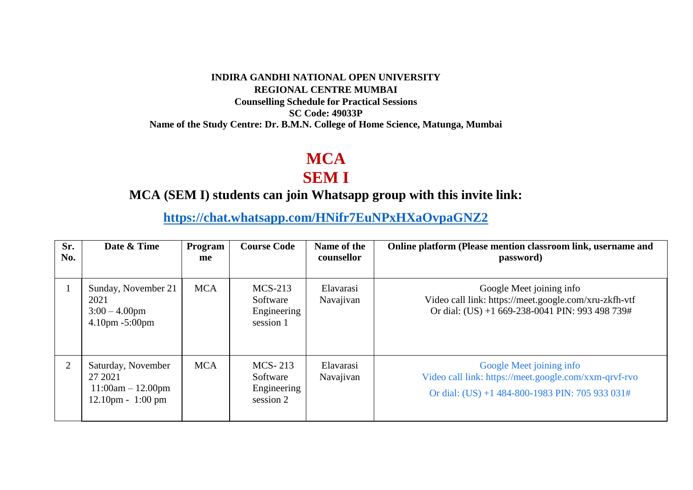#### **INDIRA GANDHI NATIONAL OPEN UNIVERSITY REGIONAL CENTRE MUMBAI Counselling Schedule for Practical Sessions SC Code: 49033P Name of the Study Centre: Dr. B.M.N. College of Home Science, Matunga, Mumbai**

# **MCA**

### **SEM I**

#### **MCA (SEM I) students can join Whatsapp group with this invite link:**

**<https://chat.whatsapp.com/HNifr7EuNPxHXaOvpaGNZ2>**

| Sr.<br>No.     | Date & Time                                                                                | Program<br>me | <b>Course Code</b>                                | Name of the<br>counsellor | Online platform (Please mention classroom link, username and<br>password)                                                            |
|----------------|--------------------------------------------------------------------------------------------|---------------|---------------------------------------------------|---------------------------|--------------------------------------------------------------------------------------------------------------------------------------|
|                | Sunday, November 21<br>2021<br>$3:00 - 4.00$ pm<br>4.10pm -5:00pm                          | <b>MCA</b>    | $MCS-213$<br>Software<br>Engineering<br>session 1 | Elavarasi<br>Navajivan    | Google Meet joining info<br>Video call link: https://meet.google.com/xru-zkfh-vtf<br>Or dial: (US) +1 669-238-0041 PIN: 993 498 739# |
| $\overline{2}$ | Saturday, November<br>27 2021<br>$11:00am - 12.00pm$<br>$12.10 \text{pm} - 1:00 \text{pm}$ | <b>MCA</b>    | MCS-213<br>Software<br>Engineering<br>session 2   | Elavarasi<br>Navajivan    | Google Meet joining info<br>Video call link: https://meet.google.com/xxm-qrvf-rvo<br>Or dial: (US) +1 484-800-1983 PIN: 705 933 031# |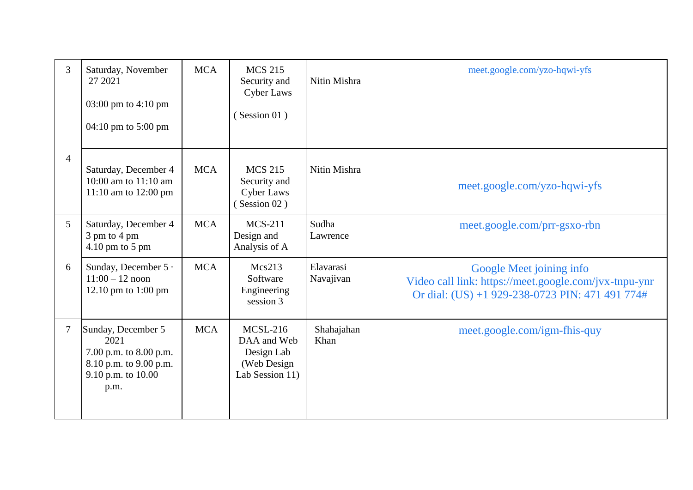| 3 | Saturday, November<br>27 2021<br>03:00 pm to $4:10$ pm<br>04:10 pm to 5:00 pm                                | <b>MCA</b> | <b>MCS 215</b><br>Security and<br><b>Cyber Laws</b><br>(Session 01)       | Nitin Mishra           | meet.google.com/yzo-hqwi-yfs                                                                                                         |
|---|--------------------------------------------------------------------------------------------------------------|------------|---------------------------------------------------------------------------|------------------------|--------------------------------------------------------------------------------------------------------------------------------------|
| 4 | Saturday, December 4<br>10:00 am to 11:10 am<br>11:10 am to 12:00 pm                                         | <b>MCA</b> | <b>MCS 215</b><br>Security and<br><b>Cyber Laws</b><br>(Session 02)       | Nitin Mishra           | meet.google.com/yzo-hqwi-yfs                                                                                                         |
| 5 | Saturday, December 4<br>3 pm to 4 pm<br>4.10 pm to 5 pm                                                      | <b>MCA</b> | $MCS-211$<br>Design and<br>Analysis of A                                  | Sudha<br>Lawrence      | meet.google.com/prr-gsxo-rbn                                                                                                         |
| 6 | Sunday, December 5 ·<br>$11:00 - 12$ noon<br>12.10 pm to 1:00 pm                                             | <b>MCA</b> | Mcs213<br>Software<br>Engineering<br>session 3                            | Elavarasi<br>Navajivan | Google Meet joining info<br>Video call link: https://meet.google.com/jvx-tnpu-ynr<br>Or dial: (US) +1 929-238-0723 PIN: 471 491 774# |
|   | Sunday, December 5<br>2021<br>7.00 p.m. to 8.00 p.m.<br>8.10 p.m. to 9.00 p.m.<br>9.10 p.m. to 10.00<br>p.m. | <b>MCA</b> | $MCSL-216$<br>DAA and Web<br>Design Lab<br>(Web Design<br>Lab Session 11) | Shahajahan<br>Khan     | meet.google.com/igm-fhis-quy                                                                                                         |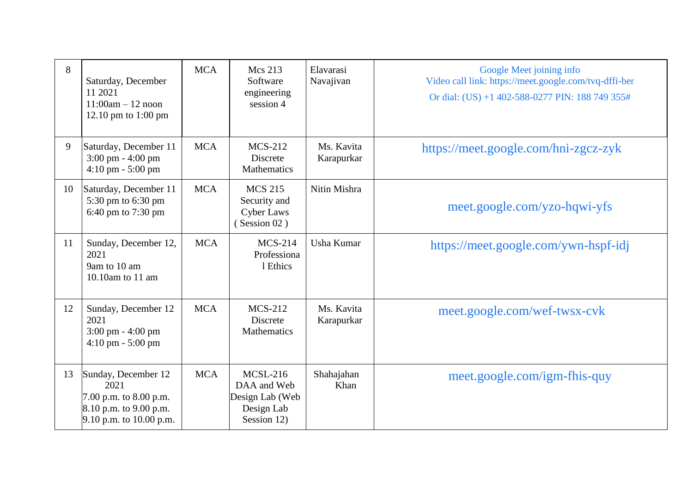| 8  | Saturday, December<br>11 2021<br>$11:00am - 12$ noon<br>12.10 pm to 1:00 pm                                  | <b>MCA</b> | Mcs 213<br>Software<br>engineering<br>session 4                           | Elavarasi<br>Navajivan   | Google Meet joining info<br>Video call link: https://meet.google.com/tvq-dffi-ber<br>Or dial: (US) +1 402-588-0277 PIN: 188 749 355# |
|----|--------------------------------------------------------------------------------------------------------------|------------|---------------------------------------------------------------------------|--------------------------|--------------------------------------------------------------------------------------------------------------------------------------|
| 9  | Saturday, December 11<br>$3:00 \text{ pm} - 4:00 \text{ pm}$<br>$4:10 \text{ pm} - 5:00 \text{ pm}$          | <b>MCA</b> | <b>MCS-212</b><br>Discrete<br><b>Mathematics</b>                          | Ms. Kavita<br>Karapurkar | https://meet.google.com/hni-zgcz-zyk                                                                                                 |
| 10 | Saturday, December 11<br>5:30 pm to 6:30 pm<br>6:40 pm to 7:30 pm                                            | <b>MCA</b> | <b>MCS 215</b><br>Security and<br><b>Cyber Laws</b><br>(Session 02)       | Nitin Mishra             | meet.google.com/yzo-hqwi-yfs                                                                                                         |
| 11 | Sunday, December 12,<br>2021<br>9am to 10 am<br>10.10am to 11 am                                             | <b>MCA</b> | $MCS-214$<br>Professiona<br>1 Ethics                                      | Usha Kumar               | https://meet.google.com/ywn-hspf-idj                                                                                                 |
| 12 | Sunday, December 12<br>2021<br>$3:00 \text{ pm} - 4:00 \text{ pm}$<br>$4:10 \text{ pm} - 5:00 \text{ pm}$    | <b>MCA</b> | <b>MCS-212</b><br><b>Discrete</b><br><b>Mathematics</b>                   | Ms. Kavita<br>Karapurkar | meet.google.com/wef-twsx-cvk                                                                                                         |
| 13 | Sunday, December 12<br>2021<br>7.00 p.m. to 8.00 p.m.<br>$8.10$ p.m. to 9.00 p.m.<br>9.10 p.m. to 10.00 p.m. | <b>MCA</b> | $MCSL-216$<br>DAA and Web<br>Design Lab (Web<br>Design Lab<br>Session 12) | Shahajahan<br>Khan       | meet.google.com/igm-fhis-quy                                                                                                         |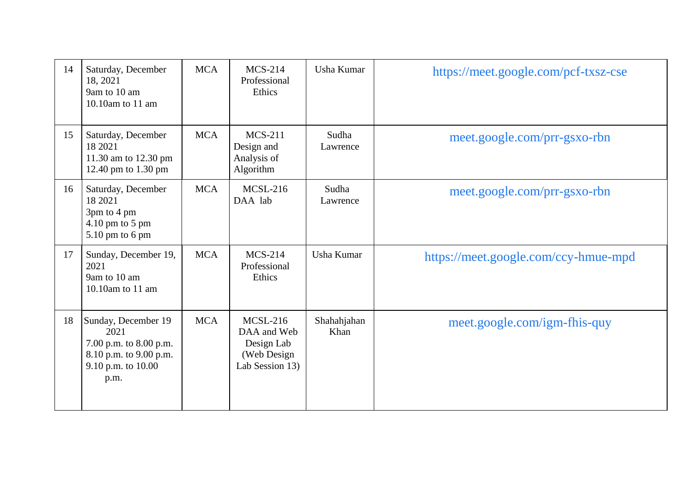| 14 | Saturday, December<br>18, 2021<br>9am to 10 am<br>10.10am to 11 am                                            | <b>MCA</b> | $MCS-214$<br>Professional<br>Ethics                                            | Usha Kumar          | https://meet.google.com/pcf-txsz-cse |
|----|---------------------------------------------------------------------------------------------------------------|------------|--------------------------------------------------------------------------------|---------------------|--------------------------------------|
| 15 | Saturday, December<br>18 2021<br>11.30 am to 12.30 pm<br>12.40 pm to 1.30 pm                                  | <b>MCA</b> | <b>MCS-211</b><br>Design and<br>Analysis of<br>Algorithm                       | Sudha<br>Lawrence   | meet.google.com/prr-gsxo-rbn         |
| 16 | Saturday, December<br>18 2021<br>3pm to 4 pm<br>4.10 pm to 5 pm<br>5.10 pm to 6 pm                            | <b>MCA</b> | <b>MCSL-216</b><br>DAA lab                                                     | Sudha<br>Lawrence   | meet.google.com/prr-gsxo-rbn         |
| 17 | Sunday, December 19,<br>2021<br>9am to 10 am<br>10.10am to 11 am                                              | <b>MCA</b> | $MCS-214$<br>Professional<br>Ethics                                            | Usha Kumar          | https://meet.google.com/ccy-hmue-mpd |
| 18 | Sunday, December 19<br>2021<br>7.00 p.m. to 8.00 p.m.<br>8.10 p.m. to 9.00 p.m.<br>9.10 p.m. to 10.00<br>p.m. | <b>MCA</b> | <b>MCSL-216</b><br>DAA and Web<br>Design Lab<br>(Web Design<br>Lab Session 13) | Shahahjahan<br>Khan | meet.google.com/igm-fhis-quy         |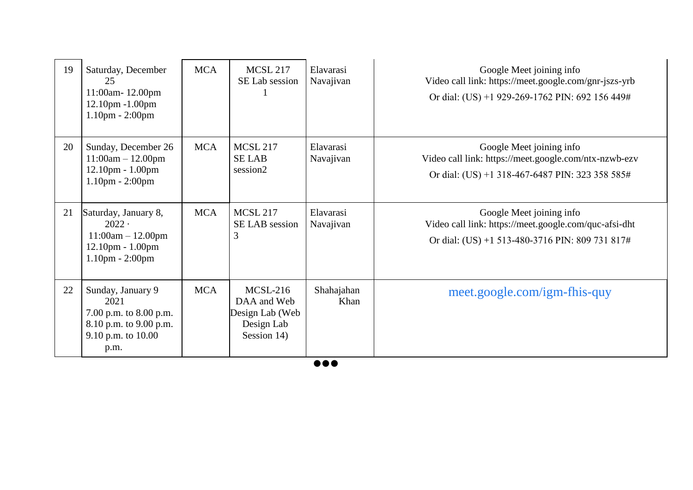| 19 | Saturday, December<br>25<br>11:00am-12.00pm<br>12.10pm -1.00pm<br>$1.10$ pm - $2:00$ pm                     | <b>MCA</b> | <b>MCSL 217</b><br>SE Lab session                                         | Elavarasi<br>Navajivan | Google Meet joining info<br>Video call link: https://meet.google.com/gnr-jszs-yrb<br>Or dial: (US) +1 929-269-1762 PIN: 692 156 449# |
|----|-------------------------------------------------------------------------------------------------------------|------------|---------------------------------------------------------------------------|------------------------|--------------------------------------------------------------------------------------------------------------------------------------|
| 20 | Sunday, December 26<br>$11:00am - 12.00pm$<br>12.10pm - 1.00pm<br>$1.10pm - 2:00pm$                         | <b>MCA</b> | <b>MCSL 217</b><br><b>SELAB</b><br>session2                               | Elavarasi<br>Navajivan | Google Meet joining info<br>Video call link: https://meet.google.com/ntx-nzwb-ezv<br>Or dial: (US) +1 318-467-6487 PIN: 323 358 585# |
| 21 | Saturday, January 8,<br>$2022 -$<br>$11:00am - 12.00pm$<br>$12.10$ pm - $1.00$ pm<br>$1.10$ pm - $2:00$ pm  | <b>MCA</b> | <b>MCSL 217</b><br><b>SE LAB</b> session<br>3                             | Elavarasi<br>Navajivan | Google Meet joining info<br>Video call link: https://meet.google.com/quc-afsi-dht<br>Or dial: (US) +1 513-480-3716 PIN: 809 731 817# |
| 22 | Sunday, January 9<br>2021<br>7.00 p.m. to 8.00 p.m.<br>8.10 p.m. to 9.00 p.m.<br>9.10 p.m. to 10.00<br>p.m. | <b>MCA</b> | $MCSL-216$<br>DAA and Web<br>Design Lab (Web<br>Design Lab<br>Session 14) | Shahajahan<br>Khan     | meet.google.com/igm-fhis-quy                                                                                                         |

 $\overline{\bullet \bullet \bullet}$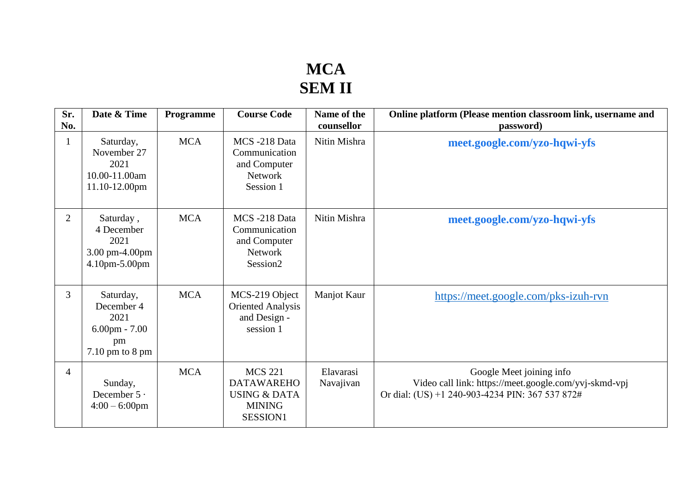## **MCA SEM II**

| Sr.<br>No.     | Date & Time                                                                             | Programme  | <b>Course Code</b>                                                                          | Name of the<br>counsellor | Online platform (Please mention classroom link, username and<br>password)                                                            |
|----------------|-----------------------------------------------------------------------------------------|------------|---------------------------------------------------------------------------------------------|---------------------------|--------------------------------------------------------------------------------------------------------------------------------------|
|                | Saturday,<br>November 27<br>2021<br>10.00-11.00am<br>11.10-12.00pm                      | <b>MCA</b> | MCS-218 Data<br>Communication<br>and Computer<br><b>Network</b><br>Session 1                | Nitin Mishra              | meet.google.com/yzo-hqwi-yfs                                                                                                         |
| $\overline{2}$ | Saturday,<br>4 December<br>2021<br>3.00 pm-4.00pm<br>4.10pm-5.00pm                      | <b>MCA</b> | MCS-218 Data<br>Communication<br>and Computer<br><b>Network</b><br>Session <sub>2</sub>     | Nitin Mishra              | meet.google.com/yzo-hqwi-yfs                                                                                                         |
| 3              | Saturday,<br>December 4<br>2021<br>$6.00 \text{pm} - 7.00$<br>pm<br>$7.10$ pm to $8$ pm | <b>MCA</b> | MCS-219 Object<br><b>Oriented Analysis</b><br>and Design -<br>session 1                     | Manjot Kaur               | https://meet.google.com/pks-izuh-rvn                                                                                                 |
| $\overline{4}$ | Sunday,<br>December $5 \cdot$<br>$4:00 - 6:00$ pm                                       | <b>MCA</b> | <b>MCS 221</b><br><b>DATAWAREHO</b><br><b>USING &amp; DATA</b><br><b>MINING</b><br>SESSION1 | Elavarasi<br>Navajivan    | Google Meet joining info<br>Video call link: https://meet.google.com/yvj-skmd-vpj<br>Or dial: (US) +1 240-903-4234 PIN: 367 537 872# |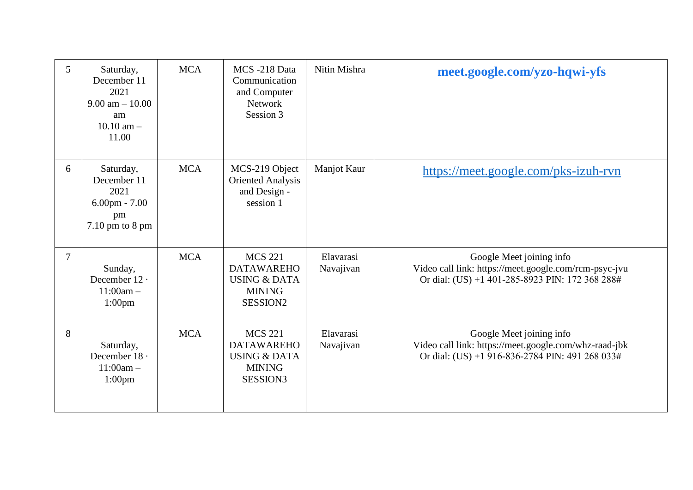| 5              | Saturday,<br>December 11<br>2021<br>$9.00 \text{ am} - 10.00$<br>am<br>$10.10$ am $-$<br>11.00 | <b>MCA</b> | MCS-218 Data<br>Communication<br>and Computer<br>Network<br>Session 3                                   | Nitin Mishra           | meet.google.com/yzo-hqwi-yfs                                                                                                         |
|----------------|------------------------------------------------------------------------------------------------|------------|---------------------------------------------------------------------------------------------------------|------------------------|--------------------------------------------------------------------------------------------------------------------------------------|
| 6              | Saturday,<br>December 11<br>2021<br>$6.00$ pm - $7.00$<br>pm<br>$7.10$ pm to $8$ pm            | <b>MCA</b> | MCS-219 Object<br><b>Oriented Analysis</b><br>and Design -<br>session 1                                 | Manjot Kaur            | https://meet.google.com/pks-izuh-rvn                                                                                                 |
| $\overline{7}$ | Sunday,<br>December 12 ·<br>$11:00am -$<br>1:00 <sub>pm</sub>                                  | <b>MCA</b> | <b>MCS 221</b><br><b>DATAWAREHO</b><br><b>USING &amp; DATA</b><br><b>MINING</b><br>SESSION <sub>2</sub> | Elavarasi<br>Navajivan | Google Meet joining info<br>Video call link: https://meet.google.com/rcm-psyc-jvu<br>Or dial: (US) +1 401-285-8923 PIN: 172 368 288# |
| 8              | Saturday,<br>December 18 ·<br>$11:00am -$<br>$1:00$ pm                                         | <b>MCA</b> | <b>MCS 221</b><br><b>DATAWAREHO</b><br><b>USING &amp; DATA</b><br><b>MINING</b><br>SESSION3             | Elavarasi<br>Navajivan | Google Meet joining info<br>Video call link: https://meet.google.com/whz-raad-jbk<br>Or dial: (US) +1 916-836-2784 PIN: 491 268 033# |